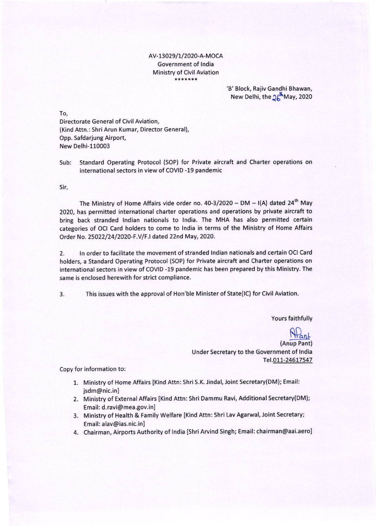### AV-13029/1/2020-A-MOCA Government of lndia Ministry of Civil Aviation \*\*\*\*\*\*\*

## 'B' Block, Rajiv Gandhi Bhawan, New Delhi, the  $\mathcal{U}^{\mathbf{h}}$ May, 2020

To,

Directorate General of Civil Aviation, (Kind Attn.: Shri Arun Kumar, Director General), Opp. Safdarjung Airport, New Delhi-110003

Sub: Standard Operating Protocol (SOP) for Private aircraft and Charter operations on international sectors in view of COVID -19 pandemic

Sir,

The Ministry of Home Affairs vide order no. 40-3/2020 - DM - I(A) dated 24<sup>th</sup> May 2020, has permitted international charter operations and operations by private aircraft to bring back stranded lndian nationals to lndia. The MHA has also permitted certain categories of OCI Card holders to come to lndia in terms of the Ministry of Home Affairs Order No. 25O?Z/24/2O20-F.V/F.I dated 22nd May,2020.

2. ln order to facilitate the movement of stranded lndian nationals and certain OCI Card holders, a Standard Operating Protocol (SOP) for Private aircraft and Charter operations on international sectors in view of COVID -19 pandemic has been prepared by this Ministry. The same is enclosed herewith for strict compliance.

This issues with the approval of Hon'ble Minister of State(lC) for Civil Aviation  $3.$ 

Yours faithfully

<u>Nant</u> (Anup Pant) Under Secretary to the Government of lndia Tel.011-24617547

Copy for information to:

- 1. Ministry of Home Affairs [Kind Attn: ShriS.K. Jindal, Joint Secretary(DM); Email: jsdm@nic.inl
- 2. Ministry of External Affairs [Kind Attn: Shri Dammu Ravi, Additional Secretary(DM]; Email: d.ravi@mea.gov.inl
- 3. Ministry of Health & Family Welfare [Kind Attn: Shri Lav Agarwal, Joint Secretary; Email: alav@ias.nic.inl
- 4. Chairman, Airports Authority of India [Shri Arvind Singh; Email: chairman@aai.aero]